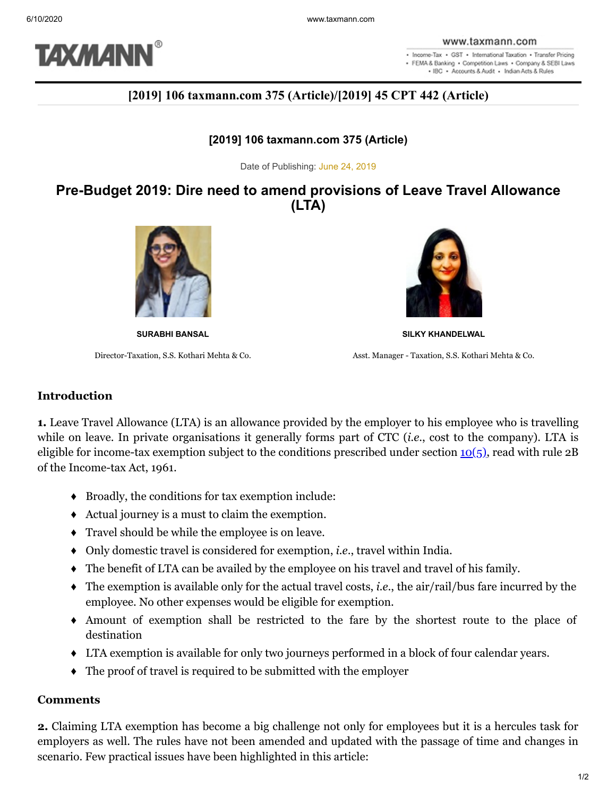

. Income-Tax . GST . International Taxation . Transfer Pricing · FEMA & Banking · Competition Laws · Company & SEBI Laws . IBC . Accounts & Audit . Indian Acts & Rules

# **[2019] 106 taxmann.com 375 (Article)/[2019] 45 CPT 442 (Article)**

### **[2019] 106 taxmann.com 375 (Article)**

Date of Publishing: June 24, 2019

## **Pre-Budget 2019: Dire need to amend provisions of Leave Travel Allowance (LTA)**





**SURABHI BANSAL SILKY KHANDELWAL**

Director-Taxation, S.S. Kothari Mehta & Co. Asst. Manager - Taxation, S.S. Kothari Mehta & Co.

#### **Introduction**

**1.** Leave Travel Allowance (LTA) is an allowance provided by the employer to his employee who is travelling while on leave. In private organisations it generally forms part of CTC (*i.e*., cost to the company). LTA is eligible for income-tax exemption subject to the conditions prescribed under section  $10(5)$ , read with rule 2B of the Income-tax Act, 1961.

- ♦ Broadly, the conditions for tax exemption include:
- ♦ Actual journey is a must to claim the exemption.
- ♦ Travel should be while the employee is on leave.
- ♦ Only domestic travel is considered for exemption, *i.e*., travel within India.
- ♦ The benefit of LTA can be availed by the employee on his travel and travel of his family.
- ♦ The exemption is available only for the actual travel costs, *i.e*., the air/rail/bus fare incurred by the employee. No other expenses would be eligible for exemption.
- ♦ Amount of exemption shall be restricted to the fare by the shortest route to the place of destination
- ♦ LTA exemption is available for only two journeys performed in a block of four calendar years.
- ♦ The proof of travel is required to be submitted with the employer

### **Comments**

**2.** Claiming LTA exemption has become a big challenge not only for employees but it is a hercules task for employers as well. The rules have not been amended and updated with the passage of time and changes in scenario. Few practical issues have been highlighted in this article: